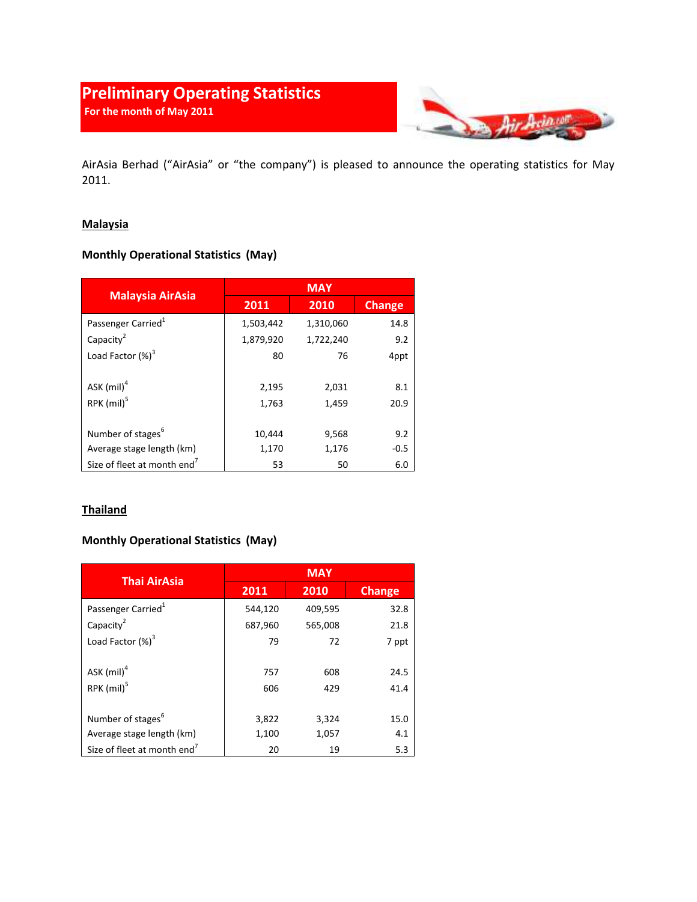# Preliminary Operating Statistics For the month of May 2011



AirAsia Berhad ("AirAsia" or "the company") is pleased to announce the operating statistics for May 2011.

## **Malaysia**

# Monthly Operational Statistics (May)

| <b>Malaysia AirAsia</b>                 | <b>MAY</b> |           |               |
|-----------------------------------------|------------|-----------|---------------|
|                                         | 2011       | 2010      | <b>Change</b> |
| Passenger Carried <sup>1</sup>          | 1,503,442  | 1,310,060 | 14.8          |
| Capacity <sup>2</sup>                   | 1,879,920  | 1,722,240 | 9.2           |
| Load Factor $(\%)^3$                    | 80         | 76        | 4ppt          |
|                                         |            |           |               |
| ASK (mil) <sup>4</sup>                  | 2,195      | 2,031     | 8.1           |
| RPK (mil) <sup>5</sup>                  | 1,763      | 1,459     | 20.9          |
|                                         |            |           |               |
| Number of stages <sup>6</sup>           | 10,444     | 9,568     | 9.2           |
| Average stage length (km)               | 1,170      | 1,176     | $-0.5$        |
| Size of fleet at month end <sup>7</sup> | 53         | 50        | 6.0           |

## **Thailand**

# Monthly Operational Statistics (May)

| <b>Thai AirAsia</b>                     | <b>MAY</b> |         |               |
|-----------------------------------------|------------|---------|---------------|
|                                         | 2011       | 2010    | <b>Change</b> |
| Passenger Carried <sup>1</sup>          | 544,120    | 409,595 | 32.8          |
| Capacity <sup>2</sup>                   | 687,960    | 565,008 | 21.8          |
| Load Factor $(\%)^3$                    | 79         | 72      | 7 ppt         |
|                                         |            |         |               |
| ASK $(mil)^4$                           | 757        | 608     | 24.5          |
| RPK (mil) <sup>5</sup>                  | 606        | 429     | 41.4          |
|                                         |            |         |               |
| Number of stages <sup>6</sup>           | 3,822      | 3,324   | 15.0          |
| Average stage length (km)               | 1,100      | 1,057   | 4.1           |
| Size of fleet at month end <sup>7</sup> | 20         | 19      | 5.3           |